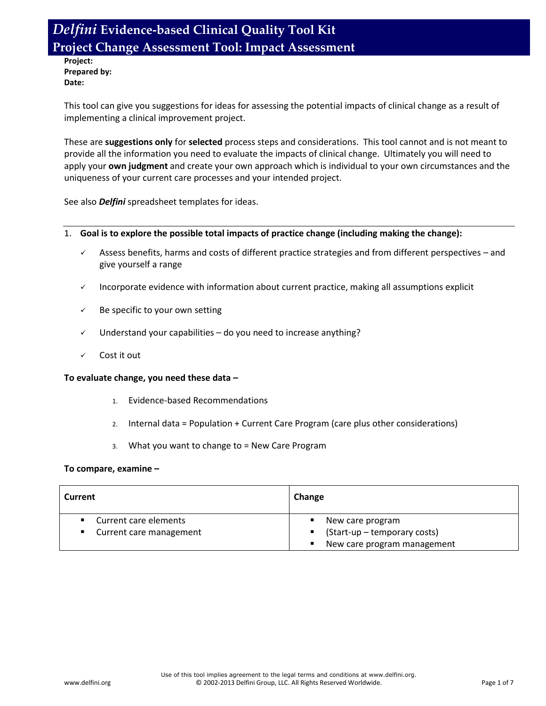**Project: Prepared by: Date:**

This tool can give you suggestions for ideas for assessing the potential impacts of clinical change as a result of implementing a clinical improvement project.

These are **suggestions only** for **selected** process steps and considerations. This tool cannot and is not meant to provide all the information you need to evaluate the impacts of clinical change. Ultimately you will need to apply your **own judgment** and create your own approach which is individual to your own circumstances and the uniqueness of your current care processes and your intended project.

See also *Delfini* spreadsheet templates for ideas.

### 1. **Goal is to explore the possible total impacts of practice change (including making the change):**

- $\checkmark$  Assess benefits, harms and costs of different practice strategies and from different perspectives and give yourself a range
- $\checkmark$  Incorporate evidence with information about current practice, making all assumptions explicit
- $\checkmark$  Be specific to your own setting
- $\checkmark$  Understand your capabilities do you need to increase anything?
- Cost it out

#### **To evaluate change, you need these data –**

- 1. Evidence-based Recommendations
- 2. Internal data = Population + Current Care Program (care plus other considerations)
- 3. What you want to change to = New Care Program

#### **To compare, examine –**

| Current                               | Change                                        |  |  |
|---------------------------------------|-----------------------------------------------|--|--|
| Current care elements<br>$\mathbf{r}$ | New care program<br>٠                         |  |  |
| ■ Current care management             | ■ (Start-up – temporary costs)                |  |  |
|                                       | New care program management<br>$\blacksquare$ |  |  |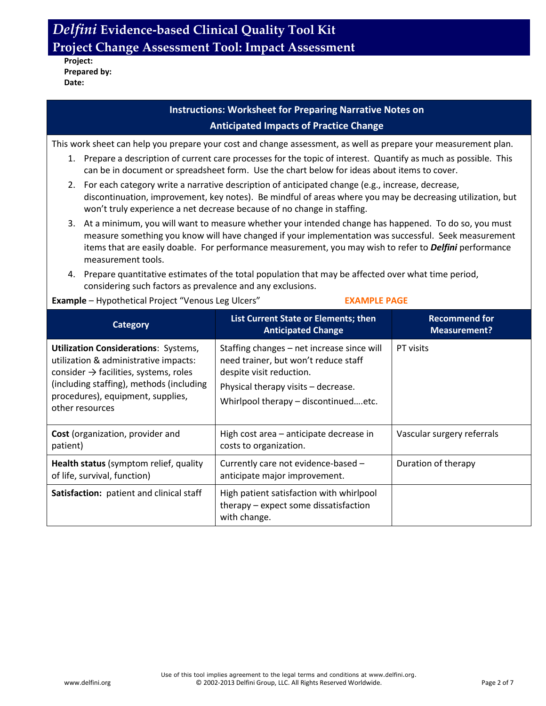**Project: Prepared by: Date:**

### **Instructions: Worksheet for Preparing Narrative Notes on Anticipated Impacts of Practice Change**

This work sheet can help you prepare your cost and change assessment, as well as prepare your measurement plan.

- 1. Prepare a description of current care processes for the topic of interest. Quantify as much as possible. This can be in document or spreadsheet form. Use the chart below for ideas about items to cover.
- 2. For each category write a narrative description of anticipated change (e.g., increase, decrease, discontinuation, improvement, key notes). Be mindful of areas where you may be decreasing utilization, but won't truly experience a net decrease because of no change in staffing.
- 3. At a minimum, you will want to measure whether your intended change has happened. To do so, you must measure something you know will have changed if your implementation was successful. Seek measurement items that are easily doable. For performance measurement, you may wish to refer to *Delfini* performance measurement tools.
- 4. Prepare quantitative estimates of the total population that may be affected over what time period, considering such factors as prevalence and any exclusions.

**Example** – Hypothetical Project "Venous Leg Ulcers" **EXAMPLE PAGE** 

| <b>Category</b>                                                                                                                                                                                                                               | List Current State or Elements; then<br><b>Anticipated Change</b>                                                                                                                             | <b>Recommend for</b><br><b>Measurement?</b> |
|-----------------------------------------------------------------------------------------------------------------------------------------------------------------------------------------------------------------------------------------------|-----------------------------------------------------------------------------------------------------------------------------------------------------------------------------------------------|---------------------------------------------|
| <b>Utilization Considerations: Systems,</b><br>utilization & administrative impacts:<br>consider $\rightarrow$ facilities, systems, roles<br>(including staffing), methods (including<br>procedures), equipment, supplies,<br>other resources | Staffing changes - net increase since will<br>need trainer, but won't reduce staff<br>despite visit reduction.<br>Physical therapy visits - decrease.<br>Whirlpool therapy - discontinuedetc. | PT visits                                   |
| Cost (organization, provider and<br>patient)                                                                                                                                                                                                  | High cost area - anticipate decrease in<br>costs to organization.                                                                                                                             | Vascular surgery referrals                  |
| Health status (symptom relief, quality<br>of life, survival, function)                                                                                                                                                                        | Currently care not evidence-based -<br>anticipate major improvement.                                                                                                                          | Duration of therapy                         |
| Satisfaction: patient and clinical staff                                                                                                                                                                                                      | High patient satisfaction with whirlpool<br>therapy – expect some dissatisfaction<br>with change.                                                                                             |                                             |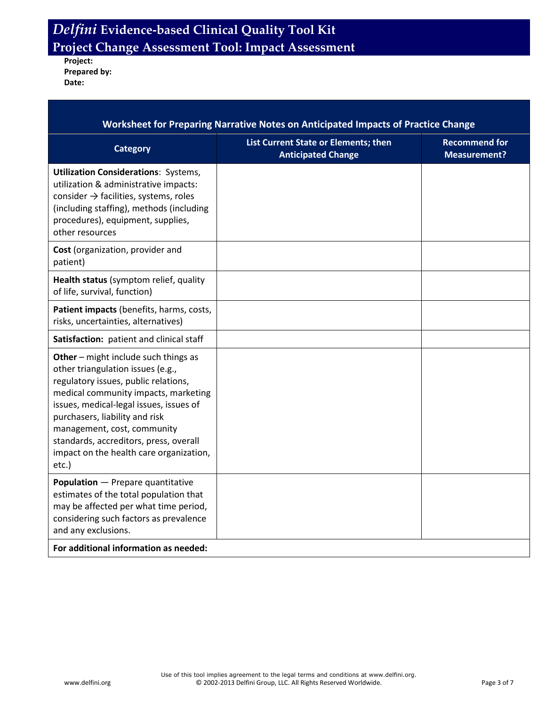**Project: Prepared by: Date:**

| Worksheet for Preparing Narrative Notes on Anticipated Impacts of Practice Change                                                                                                                                                                                                                                                                                   |                                                                   |                                             |  |  |
|---------------------------------------------------------------------------------------------------------------------------------------------------------------------------------------------------------------------------------------------------------------------------------------------------------------------------------------------------------------------|-------------------------------------------------------------------|---------------------------------------------|--|--|
| <b>Category</b>                                                                                                                                                                                                                                                                                                                                                     | List Current State or Elements; then<br><b>Anticipated Change</b> | <b>Recommend for</b><br><b>Measurement?</b> |  |  |
| <b>Utilization Considerations: Systems,</b><br>utilization & administrative impacts:<br>consider $\rightarrow$ facilities, systems, roles<br>(including staffing), methods (including<br>procedures), equipment, supplies,<br>other resources                                                                                                                       |                                                                   |                                             |  |  |
| Cost (organization, provider and<br>patient)                                                                                                                                                                                                                                                                                                                        |                                                                   |                                             |  |  |
| Health status (symptom relief, quality<br>of life, survival, function)                                                                                                                                                                                                                                                                                              |                                                                   |                                             |  |  |
| Patient impacts (benefits, harms, costs,<br>risks, uncertainties, alternatives)                                                                                                                                                                                                                                                                                     |                                                                   |                                             |  |  |
| Satisfaction: patient and clinical staff                                                                                                                                                                                                                                                                                                                            |                                                                   |                                             |  |  |
| Other - might include such things as<br>other triangulation issues (e.g.,<br>regulatory issues, public relations,<br>medical community impacts, marketing<br>issues, medical-legal issues, issues of<br>purchasers, liability and risk<br>management, cost, community<br>standards, accreditors, press, overall<br>impact on the health care organization,<br>etc.) |                                                                   |                                             |  |  |
| <b>Population</b> - Prepare quantitative<br>estimates of the total population that<br>may be affected per what time period,<br>considering such factors as prevalence<br>and any exclusions.                                                                                                                                                                        |                                                                   |                                             |  |  |
| For additional information as needed:                                                                                                                                                                                                                                                                                                                               |                                                                   |                                             |  |  |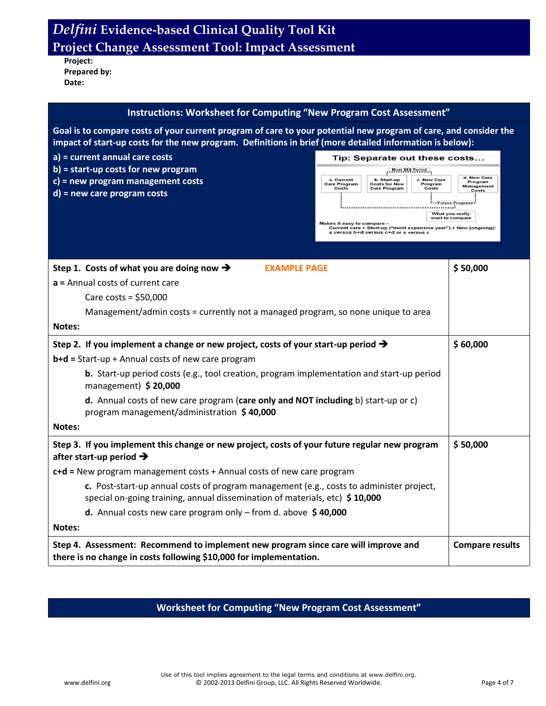**Project: Prepared by: Date:**

| <b>Instructions: Worksheet for Computing "New Program Cost Assessment"</b>                                                                                                                                                   |                                                                                                                                                                                             |                                                         |  |  |
|------------------------------------------------------------------------------------------------------------------------------------------------------------------------------------------------------------------------------|---------------------------------------------------------------------------------------------------------------------------------------------------------------------------------------------|---------------------------------------------------------|--|--|
| Goal is to compare costs of your current program of care to your potential new program of care, and consider the<br>impact of start-up costs for the new program. Definitions in brief (more detailed information is below): |                                                                                                                                                                                             |                                                         |  |  |
| a) = current annual care costs<br>$b$ ) = start-up costs for new program<br>c) = new program management costs<br>$d$ ) = new care program costs                                                                              | Tip: Separate out these costs<br>Most \$\$\$ Period<br>c. New Care<br>a. Current<br>b. Start-up<br>Care Program<br><b>Costs for New</b><br>Program<br>Costs<br><b>Care Program</b><br>Costs | d. New Care<br>Program<br><b>Management</b><br>Costs    |  |  |
|                                                                                                                                                                                                                              | <del>.</del><br>Makes it easy to compare<br>Current care + Start-up ("most expensive year") + New (ongoing):<br>a versus b+d versus c+d or a versus c                                       | -- Future Program<br>What you really<br>want to compare |  |  |
| Step 1. Costs of what you are doing now $\rightarrow$<br><b>EXAMPLE PAGE</b><br>$a$ = Annual costs of current care                                                                                                           |                                                                                                                                                                                             | \$50,000                                                |  |  |
| Care costs = $$50,000$                                                                                                                                                                                                       |                                                                                                                                                                                             |                                                         |  |  |
| Management/admin costs = currently not a managed program, so none unique to area                                                                                                                                             |                                                                                                                                                                                             |                                                         |  |  |
| Notes:                                                                                                                                                                                                                       |                                                                                                                                                                                             |                                                         |  |  |
| Step 2. If you implement a change or new project, costs of your start-up period $\rightarrow$                                                                                                                                |                                                                                                                                                                                             | \$60,000                                                |  |  |
| b+d = Start-up + Annual costs of new care program                                                                                                                                                                            |                                                                                                                                                                                             |                                                         |  |  |
| <b>b.</b> Start-up period costs (e.g., tool creation, program implementation and start-up period<br>management) \$20,000                                                                                                     |                                                                                                                                                                                             |                                                         |  |  |
| d. Annual costs of new care program (care only and NOT including b) start-up or c)<br>program management/administration \$40,000                                                                                             |                                                                                                                                                                                             |                                                         |  |  |
| Notes:                                                                                                                                                                                                                       |                                                                                                                                                                                             |                                                         |  |  |
| Step 3. If you implement this change or new project, costs of your future regular new program<br>after start-up period $\rightarrow$                                                                                         |                                                                                                                                                                                             | \$50,000                                                |  |  |
| $c+d$ = New program management costs + Annual costs of new care program                                                                                                                                                      |                                                                                                                                                                                             |                                                         |  |  |
| c. Post-start-up annual costs of program management (e.g., costs to administer project,<br>special on-going training, annual dissemination of materials, etc) \$10,000                                                       |                                                                                                                                                                                             |                                                         |  |  |
| <b>d.</b> Annual costs new care program only $-$ from d. above $\ $40,000$                                                                                                                                                   |                                                                                                                                                                                             |                                                         |  |  |
| <b>Notes:</b>                                                                                                                                                                                                                |                                                                                                                                                                                             |                                                         |  |  |
| Step 4. Assessment: Recommend to implement new program since care will improve and<br>there is no change in costs following \$10,000 for implementation.                                                                     | <b>Compare results</b>                                                                                                                                                                      |                                                         |  |  |

### **Worksheet for Computing "New Program Cost Assessment"**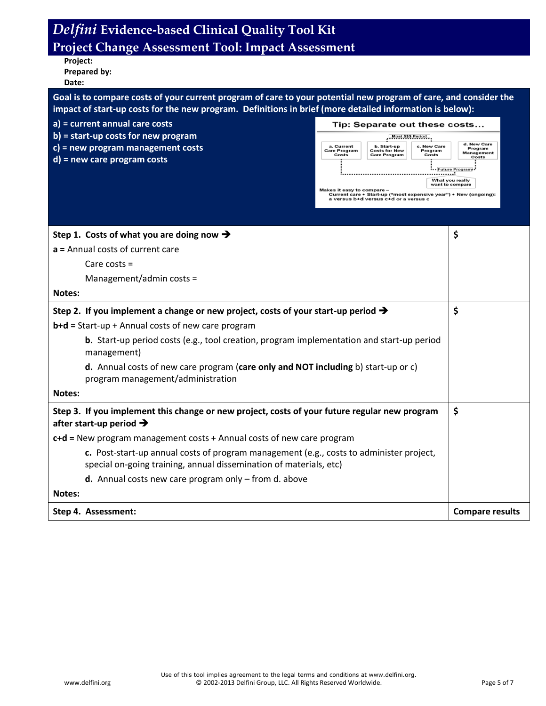| <b>Project:</b> |  |
|-----------------|--|
| Prepared by:    |  |
| Date:           |  |

| Goal is to compare costs of your current program of care to your potential new program of care, and consider the l |
|--------------------------------------------------------------------------------------------------------------------|
| impact of start-up costs for the new program. Definitions in brief (more detailed information is below): \         |

|  |  |  | a) = current annual care costs |  |
|--|--|--|--------------------------------|--|
|--|--|--|--------------------------------|--|

- **b) = start-up costs for new program**
- **c) = new program management costs**
- **d) = new care program costs**

|                                            | Tip: Separate out these costs                              |                                    |                                                      |
|--------------------------------------------|------------------------------------------------------------|------------------------------------|------------------------------------------------------|
|                                            | <b>Most \$\$\$ Period</b>                                  |                                    |                                                      |
| a. Current<br><b>Care Program</b><br>Costs | b. Start-up<br><b>Costs for New</b><br><b>Care Program</b> | c. New Care<br>Program<br>Costs    | d. New Care<br>Program<br><b>Management</b><br>Costs |
|                                            |                                                            | <b><i></i></b> Future Program      |                                                      |
| Mokes it casute company                    |                                                            | What you really<br>want to compare |                                                      |

kes it easy to compare –<br>Current care + Start-up ("most expensive year") + New (ongoing):<br>a versus b+d versus c+d or a versus c

| Step 1. Costs of what you are doing now $\rightarrow$                                                                                                         | \$                     |
|---------------------------------------------------------------------------------------------------------------------------------------------------------------|------------------------|
| $a$ = Annual costs of current care                                                                                                                            |                        |
| Care costs $=$                                                                                                                                                |                        |
| Management/admin costs =                                                                                                                                      |                        |
| Notes:                                                                                                                                                        |                        |
| Step 2. If you implement a change or new project, costs of your start-up period $\rightarrow$                                                                 | \$                     |
| $b+d = Start-up + Annual costs of new care program$                                                                                                           |                        |
| <b>b.</b> Start-up period costs (e.g., tool creation, program implementation and start-up period<br>management)                                               |                        |
| d. Annual costs of new care program (care only and NOT including b) start-up or c)<br>program management/administration                                       |                        |
| Notes:                                                                                                                                                        |                        |
| Step 3. If you implement this change or new project, costs of your future regular new program<br>after start-up period $\rightarrow$                          | \$                     |
| $c+d$ = New program management costs + Annual costs of new care program                                                                                       |                        |
| c. Post-start-up annual costs of program management (e.g., costs to administer project,<br>special on-going training, annual dissemination of materials, etc) |                        |
| <b>d.</b> Annual costs new care program only $-$ from d. above                                                                                                |                        |
| Notes:                                                                                                                                                        |                        |
| Step 4. Assessment:                                                                                                                                           | <b>Compare results</b> |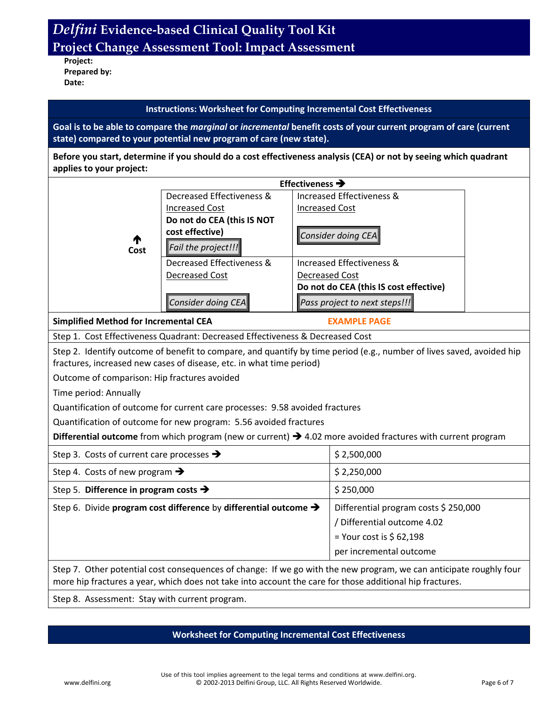**Project: Prepared by: Date:**

### **Instructions: Worksheet for Computing Incremental Cost Effectiveness**

**Goal is to be able to compare the** *marginal* **or** *incremental* **benefit costs of your current program of care (current state) compared to your potential new program of care (new state).**

**Before you start, determine if you should do a cost effectiveness analysis (CEA) or not by seeing which quadrant applies to your project:**

|           |                            | Effectiveness $\rightarrow$            |
|-----------|----------------------------|----------------------------------------|
|           | Decreased Effectiveness &  | Increased Effectiveness &              |
|           | <b>Increased Cost</b>      | <b>Increased Cost</b>                  |
|           | Do not do CEA (this IS NOT |                                        |
|           | cost effective)            | Consider doing CEA                     |
| ↑<br>Cost | Fail the project!!!        |                                        |
|           | Decreased Effectiveness &  | Increased Effectiveness &              |
|           | Decreased Cost             | Decreased Cost                         |
|           |                            | Do not do CEA (this IS cost effective) |
|           | Consider doing CEA         | Pass project to next steps!!!          |

**Simplified Method for Incremental CEA** EXAMPLE PAGE

Step 1. Cost Effectiveness Quadrant: Decreased Effectiveness & Decreased Cost

Step 2. Identify outcome of benefit to compare, and quantify by time period (e.g., number of lives saved, avoided hip fractures, increased new cases of disease, etc. in what time period)

Outcome of comparison: Hip fractures avoided

Time period: Annually

Quantification of outcome for current care processes: 9.58 avoided fractures

Quantification of outcome for new program: 5.56 avoided fractures

**Differential outcome** from which program (new or current) 4.02 more avoided fractures with current program

| Step 3. Costs of current care processes $\rightarrow$                        | \$2,500,000                          |
|------------------------------------------------------------------------------|--------------------------------------|
| Step 4. Costs of new program $\rightarrow$                                   | \$2,250,000                          |
| Step 5. Difference in program costs $\rightarrow$                            | \$250,000                            |
| Step 6. Divide program cost difference by differential outcome $\rightarrow$ | Differential program costs \$250,000 |
|                                                                              | / Differential outcome 4.02          |
|                                                                              | = Your cost is $$62,198$             |
|                                                                              | per incremental outcome              |
|                                                                              |                                      |

Step 7. Other potential cost consequences of change: If we go with the new program, we can anticipate roughly four more hip fractures a year, which does not take into account the care for those additional hip fractures.

Step 8. Assessment: Stay with current program.

### **Worksheet for Computing Incremental Cost Effectiveness**